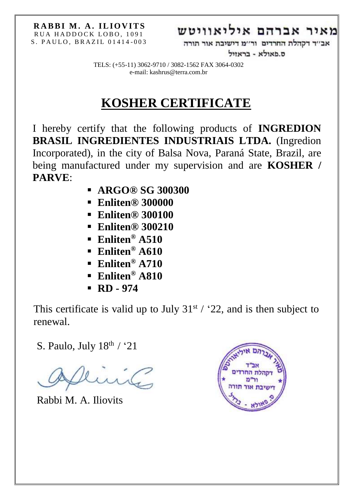## מאיר אברהם איליאוויטש

אב׳׳ד דקהלת החרדים ור׳׳מ דישיבת אור תורה

ס.פאולא - בראזול

TELS: (+55-11) 3062-9710 / 3082-1562 FAX 3064-0302 e-mail: kashrus@terra.com.br

# **KOSHER CERTIFICATE**

I hereby certify that the following products of **INGREDION BRASIL INGREDIENTES INDUSTRIAIS LTDA.** (Ingredion Incorporated), in the city of Balsa Nova, Paraná State, Brazil, are being manufactured under my supervision and are **KOSHER / PARVE**:

- **ARGO® SG 300300**
- **Enliten® 300000**
- **Enliten® 300100**
- **Enliten® 300210**
- **Enliten® A510**
- **Enliten® A610**
- **Enliten® A710**
- **Enliten® A810**
- **RD - 974**

This certificate is valid up to July  $31^{st}$  / '22, and is then subject to renewal.

S. Paulo, July  $18^{\text{th}}$  / '21

Rabbi M. A. Iliovits

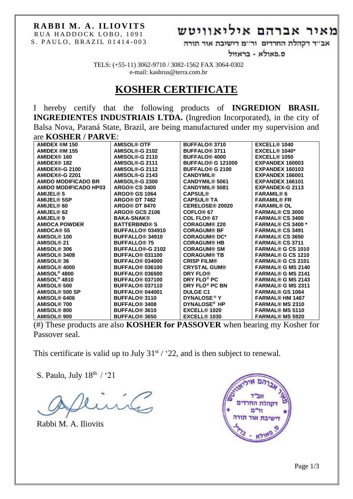### **RABBI M. A. ILIOVITS** RUA HADDOCK LOBO, 1091

#### S. PAULO, BRAZIL 01414-003

## מאיר אברהם איליאוויטש

אב׳׳ד דקהלת החרדים ור׳׳מ דישיבת אור תורה

ס.פאולא - בראזיל

TELS: (+55-11) 3062-9710 / 3082-1562 FAX 3064-0302 e-mail: kashrus@terra.com.br

### **KOSHER CERTIFICATE**

I hereby certify that the following products of **INGREDION BRASIL INGREDIENTES INDUSTRIAIS LTDA.** (Ingredion Incorporated), in the city of Balsa Nova, Paraná State, Brazil, are being manufactured under my supervision and are **KOSHER / PARVE**:

| <b>AMIDEX ®M 150</b>         | <b>AMISOL® OTF</b>                 | <b>BUFFALO<sup>®</sup> 3710</b>     | EXCELL® 1040             |
|------------------------------|------------------------------------|-------------------------------------|--------------------------|
| <b>AMIDEX ®M 155</b>         | AMISOL®-G 2102                     | <b>BUFFALO<sup>®</sup> 3711</b>     | <b>EXCELL® 1040*</b>     |
| AMIDEX® 160                  | AMISOL®-G 2110                     | <b>BUFFALO® 4000</b>                | EXCELL® 1050             |
| <b>AMIDEX® 182</b>           | AMISOL®-G 2111                     | <b>BUFFALO<sup>®</sup> G 121000</b> | EXPANDEX 160003          |
| AMIDEX®-G 2100               | AMISOL®-G 2112                     | <b>BUFFALO® G 2100</b>              | <b>EXPANDEX 160103</b>   |
| AMIDEX®-G 2201               | AMISOL®-G 2143                     | <b>CANDYMIL®</b>                    | <b>EXPANDEX 166001</b>   |
| <b>AMIDO MODIFICADO BR</b>   | AMISOL®-G 2300                     | <b>CANDYMIL® 5061</b>               | EXPANDEX 166101          |
| <b>AMIDO MODIFICADO HP03</b> | <b>ARGO® CS 3400</b>               | <b>CANDYMIL® 5081</b>               | <b>EXPANDEX-G 2113</b>   |
| <b>AMIJEL® 5</b>             | <b>ARGO® GS 1064</b>               | <b>CAPSUL®</b>                      | <b>FARAMIL®6</b>         |
| <b>AMIJEL® 5SP</b>           | <b>ARGO® DT 7482</b>               | <b>CAPSUL® TA</b>                   | <b>FARAMIL® FR</b>       |
| AMIJEL® 60                   | <b>ARGO® DT 8470</b>               | <b>CERELOSE® 20020</b>              | <b>FARAMIL® OL</b>       |
| AMIJEL® 62                   | <b>ARGO® GCS 2106</b>              | COFLO <sup>®</sup> <sub>67</sub>    | <b>FARMAL® CS 3000</b>   |
| AMIJEL® 9                    | <b>BAKA-SNAK®</b>                  | COL FLO <sup>®</sup> 67             | <b>FARMAL® CS 3400</b>   |
| <b>AMIOCA POWDER</b>         | <b>BATTERBIND® S</b>               | <b>CORAGUM® 220</b>                 | <b>FARMAL® CS 3400 *</b> |
| <b>AMIOCA® 55</b>            | <b>BUFFALLO<sup>®</sup> 034910</b> | <b>CORAGUM® BF</b>                  | <b>FARMAL® CS 3491</b>   |
| <b>AMISOL® 100</b>           | <b>BUFFALLO<sup>®</sup> 34910</b>  | <b>CORAGUM® DC*</b>                 | <b>FARMAL® CS 3650</b>   |
| AMISOL <sup>®</sup> 21       | <b>BUFFALLO<sup>®</sup> 75</b>     | <b>CORAGUM® HB</b>                  | <b>FARMAL® CS 3711</b>   |
| AMISOL® 306                  | <b>BUFFALLO®-G 2102</b>            | <b>CORAGUM® SM</b>                  | <b>FARMAL® G CS 1010</b> |
| AMISOL® 3408                 | <b>BUFFALO® 031100</b>             | <b>CORAGUM® TB</b>                  | <b>FARMAL® G CS 1210</b> |
| <b>AMISOL® 36</b>            | <b>BUFFALO<sup>®</sup> 034000</b>  | <b>CRISP FILM®</b>                  | <b>FARMAL® G CS 2101</b> |
| AMISOL® 4000                 | <b>BUFFALO® 036100</b>             | <b>CRYSTAL GUM®</b>                 | <b>FARMAL® G MS 2140</b> |
| AMISOL <sup>®</sup> 4800     | <b>BUFFALO<sup>®</sup> 036500</b>  | <b>DRY FLO®</b>                     | <b>FARMAL® G MS 2141</b> |
| AMISOL <sup>®</sup> 4810     | <b>BUFFALO® 037100</b>             | DRY FLO <sup>®</sup> PC             | <b>FARMAL® G MS 2143</b> |
| <b>AMISOL® 500</b>           | <b>BUFFALO<sup>®</sup> 037110</b>  | DRY FLO <sup>®</sup> PC BN          | <b>FARMAL® G MS 2311</b> |
| AMISOL® 500 SP               | <b>BUFFALO® 044001</b>             | <b>DULGE C1</b>                     | <b>FARMAL® GS 1064</b>   |
| AMISOL® 6406                 | <b>BUFFALO<sup>®</sup> 3110</b>    | <b>DYNALOSE<sup>®</sup>Y</b>        | <b>FARMAL® HM 1467</b>   |
| <b>AMISOL® 700</b>           | <b>BUFFALO<sup>®</sup> 3408</b>    | DYNALOSE <sup>®</sup> HP            | <b>FARMAL® MS 2310</b>   |
| AMISOL® 800                  | <b>BUFFALO® 3610</b>               | EXCELL® 1020                        | <b>FARMAL® MS 5110</b>   |
| AMISOL <sup>®</sup> 900      | <b>BUFFALO<sup>®</sup> 3650</b>    | <b>EXCELL® 1030</b>                 | <b>FARMAL® MS 5920</b>   |

(#) These products are also **KOSHER for PASSOVER** when bearing my Kosher for Passover seal.

This certificate is valid up to July  $31^{st}$  / '22, and is then subject to renewal.

S. Paulo, July  $18^{\text{th}}$  / '21

int

Rabbi M. A. Iliovits

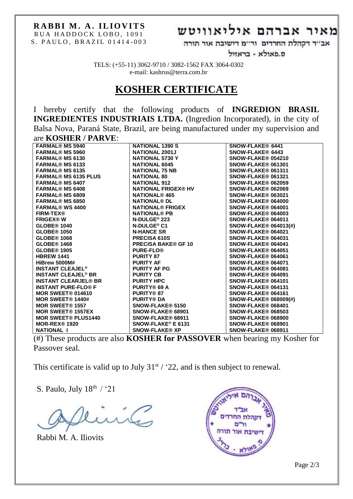## מאיר אברהם איליאוויטש

אב׳׳ד דקהלת החרדים ור׳׳מ דישיבת אור תורה

ס.פאולא - בראזיל

TELS: (+55-11) 3062-9710 / 3082-1562 FAX 3064-0302 e-mail: kashrus@terra.com.br

### **KOSHER CERTIFICATE**

I hereby certify that the following products of **INGREDION BRASIL INGREDIENTES INDUSTRIAIS LTDA.** (Ingredion Incorporated), in the city of Balsa Nova, Paraná State, Brazil, are being manufactured under my supervision and are **KOSHER / PARVE**:

| <b>FARMAL® MS 5940</b>                | <b>NATIONAL 1390 S</b>          | SNOW-FLAKE® 6441             |
|---------------------------------------|---------------------------------|------------------------------|
| <b>FARMAL® MS 5960</b>                | <b>NATIONAL 2001J</b>           | SNOW-FLAKE® 6443             |
| <b>FARMAL® MS 6130</b>                | NATIONAL 5730 Y                 | SNOW-FLAKE® 054210           |
| <b>FARMAL® MS 6133</b>                | <b>NATIONAL 6045</b>            | SNOW-FLAKE® 061301           |
| <b>FARMAL® MS 6135</b>                | <b>NATIONAL 75 NB</b>           | SNOW-FLAKE® 061311           |
| <b>FARMAL® MS 6135 PLUS</b>           | <b>NATIONAL 80</b>              | SNOW-FLAKE® 061321           |
| <b>FARMAL® MS 6407</b>                | <b>NATIONAL 912</b>             | <b>SNOW-FLAKE® 062059</b>    |
| <b>FARMAL® MS 6408</b>                | <b>NATIONAL FRIGEX® HV</b>      | SNOW-FLAKE® 062069           |
| <b>FARMAL® MS 6809</b>                | <b>NATIONAL<sup>®</sup> 465</b> | SNOW-FLAKE® 063021           |
| <b>FARMAL® MS 6850</b>                | <b>NATIONAL® DL</b>             | SNOW-FLAKE® 064000           |
| <b>FARMAL® WS 4400</b>                | <b>NATIONAL® FRIGEX</b>         | SNOW-FLAKE® 064001           |
| <b>FIRM-TEX®</b>                      | <b>NATIONAL® PB</b>             | SNOW-FLAKE® 064003           |
| <b>FRIGEX®W</b>                       | N-DULGE <sup>®</sup> 223        | SNOW-FLAKE® 064011           |
| GLOBE <sup>®</sup> 1040               | N-DULGE® C1                     | <b>SNOW-FLAKE® 064013(#)</b> |
| <b>GLOBE® 1050</b>                    | <b>N-HANCE SR</b>               | SNOW-FLAKE® 064021           |
| <b>GLOBE® 1068</b>                    | <b>PRECISA 610S</b>             | SNOW-FLAKE® 064031           |
| <b>GLOBE® 1468</b>                    | <b>PRECISA BAKE® GF 10</b>      | SNOW-FLAKE® 064041           |
| <b>GLOBE® 1905</b>                    | <b>PURE-FLO®</b>                | SNOW-FLAKE® 064051           |
| <b>HBREW 1441</b>                     | <b>PURITY 87</b>                | SNOW-FLAKE® 064061           |
| HiBrew 5000M#                         | <b>PURITY AF</b>                | SNOW-FLAKE® 064071           |
| <b>INSTANT CLEAJEL<sup>®</sup></b>    | <b>PURITY AF PG</b>             | SNOW-FLAKE® 064081           |
| <b>INSTANT CLEAJEL<sup>®</sup> BR</b> | <b>PURITY CB</b>                | SNOW-FLAKE® 064091           |
| <b>INSTANT CLEARJEL® BR</b>           | <b>PURITY HPC</b>               | SNOW-FLAKE® 064101           |
| <b>INSTANT PURE-FLO® F</b>            | <b>PURITY® 69 A</b>             | SNOW-FLAKE® 064131           |
| <b>MOR SWEET® 014610</b>              | <b>PURITY® 87</b>               | SNOW-FLAKE® 064161           |
| MOR SWEET® 1440#                      | <b>PURITY® DA</b>               | <b>SNOW-FLAKE® 068009(#)</b> |
| <b>MOR SWEET® 1557</b>                | SNOW-FLAKE® 5150                | SNOW-FLAKE® 068401           |
| <b>MOR SWEET® 1557EX</b>              | <b>SNOW-FLAKE® 68901</b>        | SNOW-FLAKE® 068503           |
| <b>MOR SWEET® PLUS1440</b>            | SNOW-FLAKE® 68911               | SNOW-FLAKE® 068900           |
| <b>MOR-REX® 1920</b>                  | SNOW-FLAKE <sup>®</sup> E 6131  | SNOW-FLAKE® 068901           |
| <b>NATIONAL I</b>                     | <b>SNOW-FLAKE® XP</b>           | SNOW-FLAKE® 068911           |

(#) These products are also **KOSHER for PASSOVER** when bearing my Kosher for Passover seal.

This certificate is valid up to July  $31^{st}$  / '22, and is then subject to renewal.

S. Paulo, July 18th / '21

il

Rabbi M. A. Iliovits

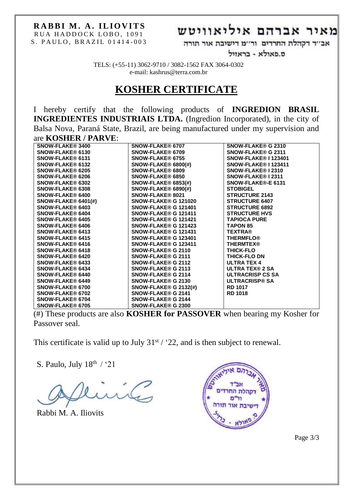## מאיר אברהם איליאוויטש

אב׳׳ד דקהלת החרדים ור׳׳מ דישיבת אור תורה

ס.פאולא - בראזיל

TELS: (+55-11) 3062-9710 / 3082-1562 FAX 3064-0302 e-mail: kashrus@terra.com.br

### **KOSHER CERTIFICATE**

I hereby certify that the following products of **INGREDION BRASIL INGREDIENTES INDUSTRIAIS LTDA.** (Ingredion Incorporated), in the city of Balsa Nova, Paraná State, Brazil, are being manufactured under my supervision and are **KOSHER / PARVE**:

| <b>SNOW-FLAKE® 3400</b>    | <b>SNOW-FLAKE® 6707</b>         | <b>SNOW-FLAKE® G 2310</b>   |
|----------------------------|---------------------------------|-----------------------------|
| <b>SNOW-FLAKE® 6130</b>    | <b>SNOW-FLAKE® 6709</b>         | <b>SNOW-FLAKE® G 2311</b>   |
| <b>SNOW-FLAKE® 6131</b>    | <b>SNOW-FLAKE® 6755</b>         | <b>SNOW-FLAKE® I 123401</b> |
| <b>SNOW-FLAKE® 6132</b>    | <b>SNOW-FLAKE® 6800(#)</b>      | SNOW-FLAKE® I 123411        |
| <b>SNOW-FLAKE® 6205</b>    | <b>SNOW-FLAKE® 6809</b>         | SNOW-FLAKE® I 2310          |
| <b>SNOW-FLAKE® 6206</b>    | SNOW-FLAKE® 6850                | <b>SNOW-FLAKE® I 2311</b>   |
| <b>SNOW-FLAKE® 6302</b>    | $SNOW\text{-FLAKE@ }6853(\#)$   | <b>SNOW-FLAKE®-E 6131</b>   |
| <b>SNOW-FLAKE® 6308</b>    | <b>SNOW-FLAKE® 6890(#)</b>      | <b>STOBIGEL</b>             |
| <b>SNOW-FLAKE® 6400</b>    | <b>SNOW-FLAKE® 8021</b>         | <b>STRUCTURE 2143</b>       |
| <b>SNOW-FLAKE® 6401(#)</b> | <b>SNOW-FLAKE® G 121020</b>     | <b>STRUCTURE 6407</b>       |
| <b>SNOW-FLAKE® 6403</b>    | SNOW-FLAKE® G 121401            | <b>STRUCTURE 6892</b>       |
| <b>SNOW-FLAKE® 6404</b>    | SNOW-FLAKE® G 121411            | <b>STRUCTURE HVS</b>        |
| <b>SNOW-FLAKE® 6405</b>    | SNOW-FLAKE® G 121421            | <b>TAPIOCA PURE</b>         |
| <b>SNOW-FLAKE® 6406</b>    | SNOW-FLAKE® G 121423            | <b>TAPON 85</b>             |
| <b>SNOW-FLAKE® 6413</b>    | SNOW-FLAKE® G 121431            | <b>TEXTRA®</b>              |
| <b>SNOW-FLAKE® 6415</b>    | SNOW-FLAKE® G 123401            | <b>THERMFLO®</b>            |
| <b>SNOW-FLAKE® 6416</b>    | SNOW-FLAKE® G 123411            | <b>THERMTEX®</b>            |
| <b>SNOW-FLAKE® 6418</b>    | <b>SNOW-FLAKE® G 2110</b>       | <b>THICK-FLO</b>            |
| <b>SNOW-FLAKE® 6420</b>    | <b>SNOW-FLAKE® G 2111</b>       | <b>THICK-FLO DN</b>         |
| <b>SNOW-FLAKE® 6433</b>    | <b>SNOW-FLAKE® G 2112</b>       | <b>ULTRA TEX 4</b>          |
| <b>SNOW-FLAKE® 6434</b>    | <b>SNOW-FLAKE® G 2113</b>       | <b>ULTRA TEX® 2 SA</b>      |
| <b>SNOW-FLAKE® 6440</b>    | <b>SNOW-FLAKE® G 2114</b>       | <b>ULTRACRISP CS SA</b>     |
| <b>SNOW-FLAKE® 6449</b>    | <b>SNOW-FLAKE® G 2130</b>       | <b>ULTRACRISP® SA</b>       |
| <b>SNOW-FLAKE® 6700</b>    | $SNOW\text{-FLAKE@ }G 2132(\#)$ | <b>RD 1017</b>              |
| <b>SNOW-FLAKE® 6702</b>    | <b>SNOW-FLAKE® G 2141</b>       | <b>RD 1018</b>              |
| <b>SNOW-FLAKE® 6704</b>    | <b>SNOW-FLAKE® G 2144</b>       |                             |
| <b>SNOW-FLAKE® 6705</b>    | <b>SNOW-FLAKE® G 2300</b>       |                             |
|                            |                                 |                             |

(#) These products are also **KOSHER for PASSOVER** when bearing my Kosher for Passover seal.

This certificate is valid up to July  $31<sup>st</sup> / 22$ , and is then subject to renewal.

S. Paulo, July  $18^{\text{th}}$  / '21

Rabbi M. A. Iliovits



Page 3/3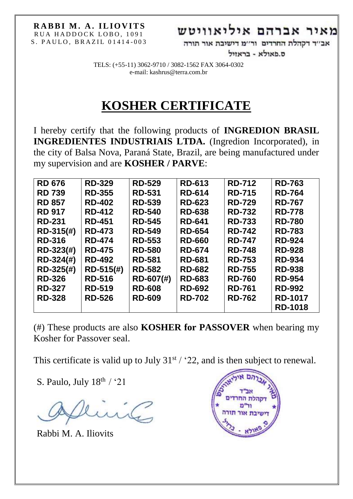## מאיר אברהם איליאוויטש

אב׳׳ד דקהלת החרדים ור׳׳מ דישיבת אור תורה

ס.פאולא - בראזיל

TELS: (+55-11) 3062-9710 / 3082-1562 FAX 3064-0302 e-mail: kashrus@terra.com.br

# **KOSHER CERTIFICATE**

I hereby certify that the following products of **INGREDION BRASIL INGREDIENTES INDUSTRIAIS LTDA.** (Ingredion Incorporated), in the city of Balsa Nova, Paraná State, Brazil, are being manufactured under my supervision and are **KOSHER / PARVE**:

| <b>RD 676</b> | <b>RD-329</b> | <b>RD-529</b> | <b>RD-613</b> | <b>RD-712</b> | <b>RD-763</b>  |
|---------------|---------------|---------------|---------------|---------------|----------------|
| <b>RD 739</b> | <b>RD-355</b> | <b>RD-531</b> | <b>RD-614</b> | <b>RD-715</b> | <b>RD-764</b>  |
| <b>RD 857</b> | <b>RD-402</b> | <b>RD-539</b> | <b>RD-623</b> | <b>RD-729</b> | <b>RD-767</b>  |
| <b>RD 917</b> | <b>RD-412</b> | <b>RD-540</b> | <b>RD-638</b> | <b>RD-732</b> | <b>RD-778</b>  |
| <b>RD-231</b> | <b>RD-451</b> | <b>RD-545</b> | <b>RD-641</b> | <b>RD-733</b> | <b>RD-780</b>  |
| RD-315(#)     | <b>RD-473</b> | <b>RD-549</b> | <b>RD-654</b> | <b>RD-742</b> | <b>RD-783</b>  |
| <b>RD-316</b> | <b>RD-474</b> | <b>RD-553</b> | <b>RD-660</b> | <b>RD-747</b> | <b>RD-924</b>  |
| RD-323(#)     | <b>RD-475</b> | <b>RD-580</b> | <b>RD-674</b> | <b>RD-748</b> | <b>RD-928</b>  |
| RD-324(#)     | <b>RD-492</b> | <b>RD-581</b> | <b>RD-681</b> | <b>RD-753</b> | <b>RD-934</b>  |
| RD-325(#)     | $RD-515(#)$   | <b>RD-582</b> | <b>RD-682</b> | <b>RD-755</b> | <b>RD-938</b>  |
| <b>RD-326</b> | <b>RD-516</b> | RD-607(#)     | <b>RD-683</b> | <b>RD-760</b> | <b>RD-954</b>  |
| <b>RD-327</b> | <b>RD-519</b> | <b>RD-608</b> | <b>RD-692</b> | <b>RD-761</b> | <b>RD-992</b>  |
| <b>RD-328</b> | <b>RD-526</b> | <b>RD-609</b> | <b>RD-702</b> | <b>RD-762</b> | <b>RD-1017</b> |
|               |               |               |               |               | <b>RD-1018</b> |

(#) These products are also **KOSHER for PASSOVER** when bearing my Kosher for Passover seal.

This certificate is valid up to July  $31^{st}$  / '22, and is then subject to renewal.

S. Paulo, July  $18^{th}$  / '21

Rabbi M. A. Iliovits

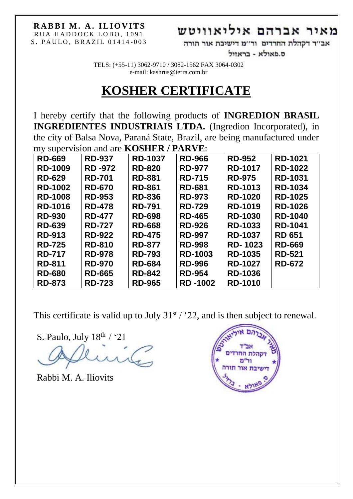## מאיר אברהם איליאוויטש

אב׳׳ד דקהלת החרדים ור׳׳מ דישיבת אור תורה

ס.פאולא - בראזיל

TELS: (+55-11) 3062-9710 / 3082-1562 FAX 3064-0302 e-mail: kashrus@terra.com.br

# **KOSHER CERTIFICATE**

I hereby certify that the following products of **INGREDION BRASIL INGREDIENTES INDUSTRIAIS LTDA.** (Ingredion Incorporated), in the city of Balsa Nova, Paraná State, Brazil, are being manufactured under my supervision and are **KOSHER / PARVE**:

| <b>RD-669</b>  | <b>RD-937</b> | <b>RD-1037</b> | <b>RD-966</b>  | <b>RD-952</b>  | <b>RD-1021</b> |
|----------------|---------------|----------------|----------------|----------------|----------------|
| <b>RD-1009</b> | <b>RD-972</b> | <b>RD-820</b>  | <b>RD-977</b>  | <b>RD-1017</b> | <b>RD-1022</b> |
| <b>RD-629</b>  | <b>RD-701</b> | <b>RD-881</b>  | <b>RD-715</b>  | <b>RD-975</b>  | <b>RD-1031</b> |
| <b>RD-1002</b> | <b>RD-670</b> | <b>RD-861</b>  | <b>RD-681</b>  | <b>RD-1013</b> | <b>RD-1034</b> |
| <b>RD-1008</b> | <b>RD-953</b> | <b>RD-836</b>  | <b>RD-973</b>  | <b>RD-1020</b> | <b>RD-1025</b> |
| <b>RD-1016</b> | <b>RD-478</b> | <b>RD-791</b>  | <b>RD-729</b>  | <b>RD-1019</b> | <b>RD-1026</b> |
| <b>RD-930</b>  | <b>RD-477</b> | <b>RD-698</b>  | <b>RD-465</b>  | <b>RD-1030</b> | <b>RD-1040</b> |
| <b>RD-639</b>  | <b>RD-727</b> | <b>RD-668</b>  | <b>RD-926</b>  | <b>RD-1033</b> | <b>RD-1041</b> |
| <b>RD-913</b>  | <b>RD-922</b> | <b>RD-475</b>  | <b>RD-997</b>  | <b>RD-1037</b> | <b>RD 651</b>  |
| <b>RD-725</b>  | <b>RD-810</b> | <b>RD-877</b>  | <b>RD-998</b>  | <b>RD-1023</b> | <b>RD-669</b>  |
| <b>RD-717</b>  | <b>RD-978</b> | <b>RD-793</b>  | <b>RD-1003</b> | <b>RD-1035</b> | <b>RD-521</b>  |
| <b>RD-811</b>  | <b>RD-970</b> | <b>RD-684</b>  | <b>RD-996</b>  | <b>RD-1027</b> | <b>RD-672</b>  |
| <b>RD-680</b>  | <b>RD-665</b> | <b>RD-842</b>  | <b>RD-954</b>  | <b>RD-1036</b> |                |
| <b>RD-873</b>  | <b>RD-723</b> | <b>RD-965</b>  | <b>RD-1002</b> | <b>RD-1010</b> |                |

This certificate is valid up to July  $31^{st}$  / '22, and is then subject to renewal.

S. Paulo, July  $18^{th}$  / '21

Rabbi M. A. Iliovits